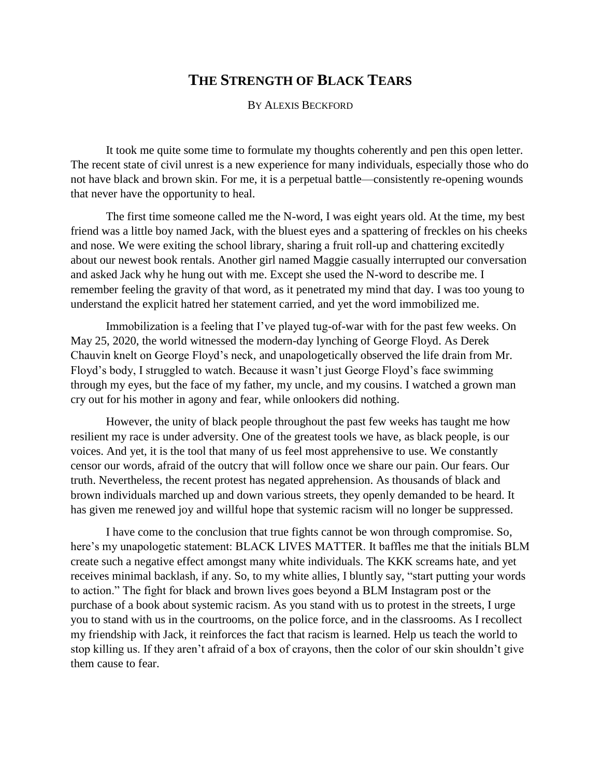## **THE STRENGTH OF BLACK TEARS**

## BY ALEXIS BECKFORD

It took me quite some time to formulate my thoughts coherently and pen this open letter. The recent state of civil unrest is a new experience for many individuals, especially those who do not have black and brown skin. For me, it is a perpetual battle—consistently re-opening wounds that never have the opportunity to heal.

The first time someone called me the N-word, I was eight years old. At the time, my best friend was a little boy named Jack, with the bluest eyes and a spattering of freckles on his cheeks and nose. We were exiting the school library, sharing a fruit roll-up and chattering excitedly about our newest book rentals. Another girl named Maggie casually interrupted our conversation and asked Jack why he hung out with me. Except she used the N-word to describe me. I remember feeling the gravity of that word, as it penetrated my mind that day. I was too young to understand the explicit hatred her statement carried, and yet the word immobilized me.

Immobilization is a feeling that I've played tug-of-war with for the past few weeks. On May 25, 2020, the world witnessed the modern-day lynching of George Floyd. As Derek Chauvin knelt on George Floyd's neck, and unapologetically observed the life drain from Mr. Floyd's body, I struggled to watch. Because it wasn't just George Floyd's face swimming through my eyes, but the face of my father, my uncle, and my cousins. I watched a grown man cry out for his mother in agony and fear, while onlookers did nothing.

However, the unity of black people throughout the past few weeks has taught me how resilient my race is under adversity. One of the greatest tools we have, as black people, is our voices. And yet, it is the tool that many of us feel most apprehensive to use. We constantly censor our words, afraid of the outcry that will follow once we share our pain. Our fears. Our truth. Nevertheless, the recent protest has negated apprehension. As thousands of black and brown individuals marched up and down various streets, they openly demanded to be heard. It has given me renewed joy and willful hope that systemic racism will no longer be suppressed.

I have come to the conclusion that true fights cannot be won through compromise. So, here's my unapologetic statement: BLACK LIVES MATTER. It baffles me that the initials BLM create such a negative effect amongst many white individuals. The KKK screams hate, and yet receives minimal backlash, if any. So, to my white allies, I bluntly say, "start putting your words to action." The fight for black and brown lives goes beyond a BLM Instagram post or the purchase of a book about systemic racism. As you stand with us to protest in the streets, I urge you to stand with us in the courtrooms, on the police force, and in the classrooms. As I recollect my friendship with Jack, it reinforces the fact that racism is learned. Help us teach the world to stop killing us. If they aren't afraid of a box of crayons, then the color of our skin shouldn't give them cause to fear.